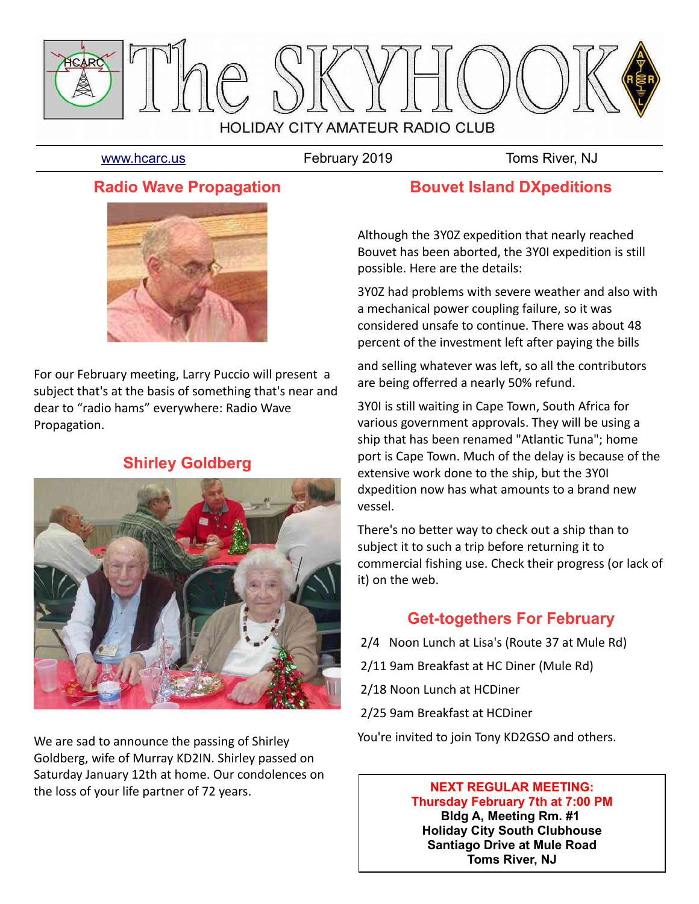

[www.hcarc.us](http://www.hcarc.us/) **February 2019** Toms River, NJ

## **Radio Wave Propagation**



For our February meeting, Larry Puccio will present a subject that's at the basis of something that's near and dear to "radio hams" everywhere: Radio Wave Propagation.

# **Shirley Goldberg**



We are sad to announce the passing of Shirley Goldberg, wife of Murray KD2IN. Shirley passed on Saturday January 12th at home. Our condolences on the loss of your life partner of 72 years.

## **Bouvet Island DXpeditions**

Although the 3Y0Z expedition that nearly reached Bouvet has been aborted, the 3Y0I expedition is still possible. Here are the details:

3Y0Z had problems with severe weather and also with a mechanical power coupling failure, so it was considered unsafe to continue. There was about 48 percent of the investment left after paying the bills

and selling whatever was left, so all the contributors are being offerred a nearly 50% refund.

3Y0I is still waiting in Cape Town, South Africa for various government approvals. They will be using a ship that has been renamed "Atlantic Tuna"; home port is Cape Town. Much of the delay is because of the extensive work done to the ship, but the 3Y0I dxpedition now has what amounts to a brand new vessel.

There's no better way to check out a ship than to subject it to such a trip before returning it to commercial fishing use. Check their progress (or lack of it) on the web.

# **Get-togethers For February**

- 2/4 Noon Lunch at Lisa's (Route 37 at Mule Rd)
- 2/11 9am Breakfast at HC Diner (Mule Rd)
- 2/18 Noon Lunch at HCDiner
- 2/25 9am Breakfast at HCDiner

You're invited to join Tony KD2GSO and others.

#### **NEXT REGULAR MEETING: Thursday February 7th at 7:00 PM Bldg A, Meeting Rm. #1 Holiday City South Clubhouse Santiago Drive at Mule Road Toms River, NJ**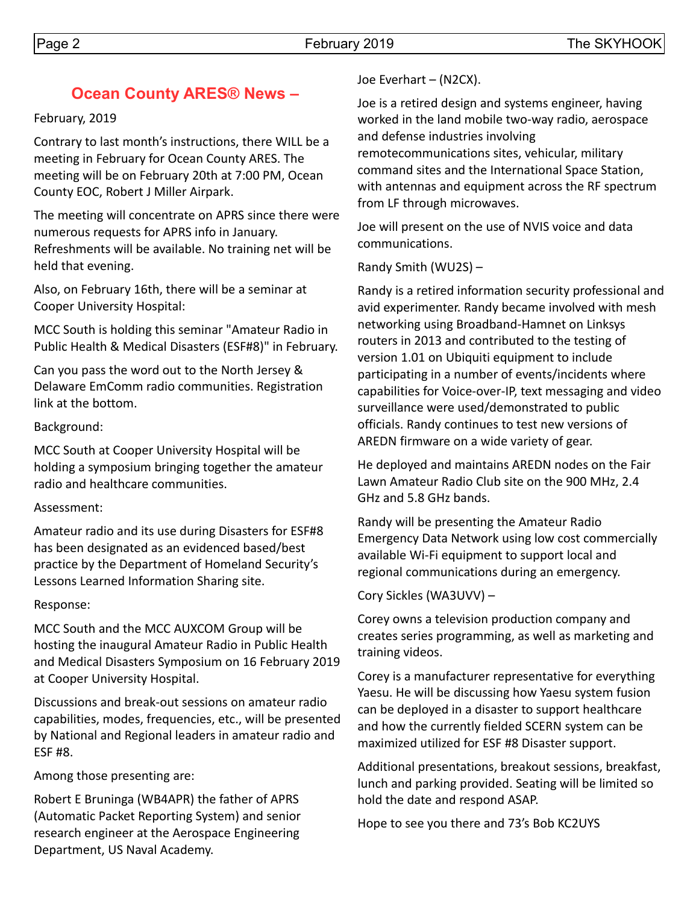# **Ocean County ARES® News –**

February, 2019

Contrary to last month's instructions, there WILL be a meeting in February for Ocean County ARES. The meeting will be on February 20th at 7:00 PM, Ocean County EOC, Robert J Miller Airpark.

The meeting will concentrate on APRS since there were numerous requests for APRS info in January. Refreshments will be available. No training net will be held that evening.

Also, on February 16th, there will be a seminar at Cooper University Hospital:

MCC South is holding this seminar "Amateur Radio in Public Health & Medical Disasters (ESF#8)" in February.

Can you pass the word out to the North Jersey & Delaware EmComm radio communities. Registration link at the bottom.

#### Background:

MCC South at Cooper University Hospital will be holding a symposium bringing together the amateur radio and healthcare communities.

### Assessment:

Amateur radio and its use during Disasters for ESF#8 has been designated as an evidenced based/best practice by the Department of Homeland Security's Lessons Learned Information Sharing site.

### Response:

MCC South and the MCC AUXCOM Group will be hosting the inaugural Amateur Radio in Public Health and Medical Disasters Symposium on 16 February 2019 at Cooper University Hospital.

Discussions and break-out sessions on amateur radio capabilities, modes, frequencies, etc., will be presented by National and Regional leaders in amateur radio and ESF #8.

Among those presenting are:

Robert E Bruninga (WB4APR) the father of APRS (Automatic Packet Reporting System) and senior research engineer at the Aerospace Engineering Department, US Naval Academy.

Joe Everhart – (N2CX).

Joe is a retired design and systems engineer, having worked in the land mobile two-way radio, aerospace and defense industries involving

remotecommunications sites, vehicular, military command sites and the International Space Station, with antennas and equipment across the RF spectrum from LF through microwaves.

Joe will present on the use of NVIS voice and data communications.

Randy Smith (WU2S) –

Randy is a retired information security professional and avid experimenter. Randy became involved with mesh networking using Broadband-Hamnet on Linksys routers in 2013 and contributed to the testing of version 1.01 on Ubiquiti equipment to include participating in a number of events/incidents where capabilities for Voice-over-IP, text messaging and video surveillance were used/demonstrated to public officials. Randy continues to test new versions of AREDN firmware on a wide variety of gear.

He deployed and maintains AREDN nodes on the Fair Lawn Amateur Radio Club site on the 900 MHz, 2.4 GHz and 5.8 GHz bands.

Randy will be presenting the Amateur Radio Emergency Data Network using low cost commercially available Wi-Fi equipment to support local and regional communications during an emergency.

Cory Sickles (WA3UVV) –

Corey owns a television production company and creates series programming, as well as marketing and training videos.

Corey is a manufacturer representative for everything Yaesu. He will be discussing how Yaesu system fusion can be deployed in a disaster to support healthcare and how the currently fielded SCERN system can be maximized utilized for ESF #8 Disaster support.

Additional presentations, breakout sessions, breakfast, lunch and parking provided. Seating will be limited so hold the date and respond ASAP.

Hope to see you there and 73's Bob KC2UYS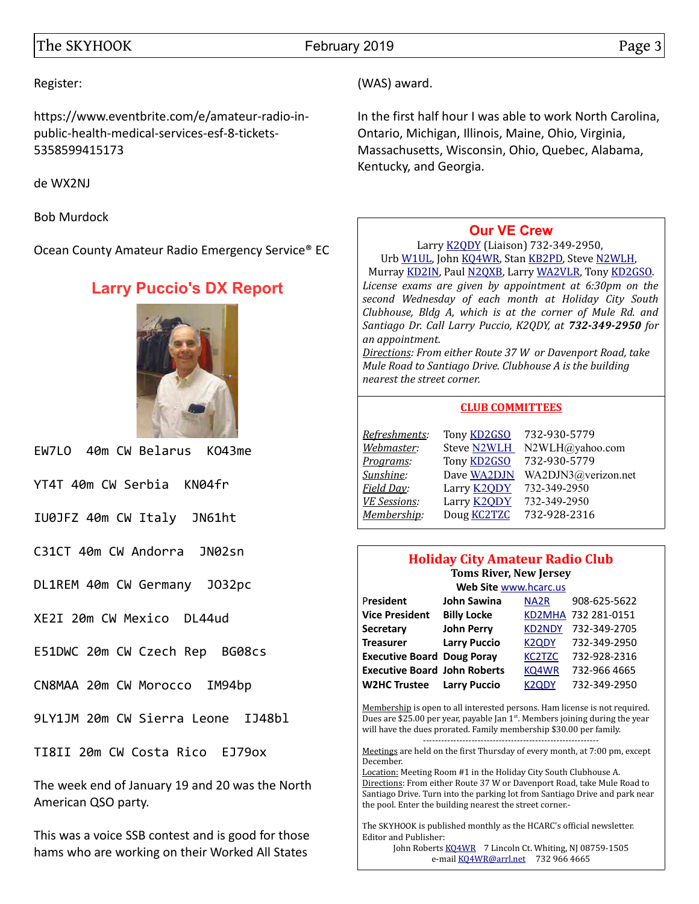#### The SKYHOOK February 2019 Page 3

#### Register:

https://www.eventbrite.com/e/amateur-radio-inpublic-health-medical-services-esf-8-tickets-5358599415173

de WX2NJ

Bob Murdock

Ocean County Amateur Radio Emergency Service® EC

# **Larry Puccio's DX Report**



EW7LO 40m CW Belarus KO43me

YT4T 40m CW Serbia KN04fr

IU0JFZ 40m CW Italy JN61ht

C31CT 40m CW Andorra JN02sn

DL1REM 40m CW Germany JO32pc

XE2I 20m CW Mexico DL44ud

E51DWC 20m CW Czech Rep BG08cs

CN8MAA 20m CW Morocco IM94bp

9LY1JM 20m CW Sierra Leone IJ48bl

TI8II 20m CW Costa Rico EJ79ox

The week end of January 19 and 20 was the North American QSO party.

This was a voice SSB contest and is good for those hams who are working on their Worked All States

(WAS) award.

In the first half hour I was able to work North Carolina, Ontario, Michigan, Illinois, Maine, Ohio, Virginia, Massachusetts, Wisconsin, Ohio, Quebec, Alabama, Kentucky, and Georgia.

#### **[Our VE Crew](mailto:lpuccio1@comcast.net?subject=VE)**

Larry [K2QDY](mailto:lpuccio1@comcast.net) (Liaison) 732-349-2950, Urb [W1UL,](mailto:urb@W1UL.com) John [KQ4WR,](mailto:kq4wr@arrl.net) Stan [KB2PD,](mailto:kb2pd@hotmail.com) Steve [N2WLH,](mailto:n2wlh@yahoo.com) Murray [KD2IN,](mailto:murraykd2in@comcast.net) Paul [N2QXB,](mailto:n2qxb@juno.com) Larry [WA2VLR,](mailto:lloscalz@optonline.net) Tony [KD2GSO.](mailto:tonyk613@comcast.net) *License exams are given by appointment at 6:30pm on the second Wednesday of each month at Holiday City South Clubhouse, Bldg A, which is at the corner of Mule Rd. and Santiago Dr. Call Larry Puccio, K2QDY, at 732-349-2950 for an appointment.* 

*Directions: From either Route 37 W or Davenport Road, take Mule Road to Santiago Drive. Clubhouse A is the building nearest the street corner.*

#### **CLUB COMMITTEES**

| Refreshments:       | Tony <b>KD2GSO</b> | 732-930-5779        |
|---------------------|--------------------|---------------------|
| Webmaster:          | <b>Steve N2WLH</b> | N2WLH@yahoo.com     |
| Programs:           | Tony <b>KD2GSO</b> | 732-930-5779        |
| Sunshine:           | Dave WA2DJN        | WA2DJN3@verizon.net |
| Field Day:          | Larry <b>K2QDY</b> | 732-349-2950        |
| <b>VE Sessions:</b> | Larry <b>K2QDY</b> | 732-349-2950        |
| Membership:         | Doug <b>KC2TZC</b> | 732-928-2316        |

#### **Holiday City Amateur Radio Club Toms River, New Jersey**

| Web Site www.hcarc.us               |                     |                    |                     |  |  |  |
|-------------------------------------|---------------------|--------------------|---------------------|--|--|--|
| President                           | <b>John Sawina</b>  | NA <sub>2</sub> R  | 908-625-5622        |  |  |  |
| <b>Vice President</b>               | <b>Billy Locke</b>  |                    | KD2MHA 732 281-0151 |  |  |  |
| <b>Secretary</b>                    | <b>John Perry</b>   | <b>KD2NDY</b>      | 732-349-2705        |  |  |  |
| <b>Treasurer</b>                    | <b>Larry Puccio</b> | <b>K2QDY</b>       | 732-349-2950        |  |  |  |
| <b>Executive Board Doug Poray</b>   |                     | <b>KC2TZC</b>      | 732-928-2316        |  |  |  |
| <b>Executive Board John Roberts</b> |                     | KQ4WR              | 732-966 4665        |  |  |  |
| <b>W2HC Trustee</b>                 | <b>Larry Puccio</b> | K <sub>2</sub> ODY | 732-349-2950        |  |  |  |

Membership is open to all interested persons. Ham license is not required. Dues are \$25.00 per year, payable Jan  $1<sup>st</sup>$ . Members joining during the year will have the dues prorated. Family membership \$30.00 per family. ----------------------------------------------------------

Meetings are held on the first Thursday of every month, at 7:00 pm, except December.

Location: Meeting Room #1 in the Holiday City South Clubhouse A. Directions: From either Route 37 W or Davenport Road, take Mule Road to Santiago Drive. Turn into the parking lot from Santiago Drive and park near the pool. Enter the building nearest the street corner.-

The SKYHOOK is published monthly as the HCARC's official newsletter. Editor and Publisher:

John Roberts [KQ4WR](mailto:kq4wr@arrl.net) 7 Lincoln Ct. Whiting, NJ 08759-1505 e-mail [KQ4WR@arrl.net](mailto:KQ4WR@arrl.net) 732 966 4665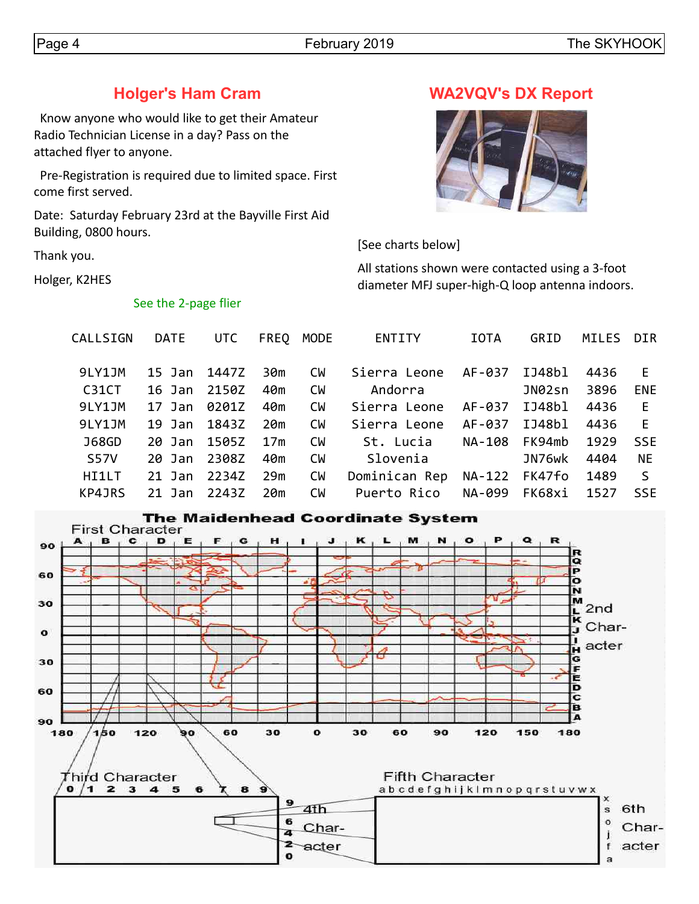# **Holger's Ham Cram**

 Know anyone who would like to get their Amateur Radio Technician License in a day? Pass on the attached flyer to anyone.

 Pre-Registration is required due to limited space. First come first served.

Date: Saturday February 23rd at the Bayville First Aid Building, 0800 hours.

Thank you.

Holger, K2HES

#### See the 2-page flier

## **WA2VQV's DX Report**



[See charts below]

All stations shown were contacted using a 3-foot diameter MFJ super-high-Q loop antenna indoors.

| CALLSIGN     | <b>DATE</b> | UTC   | <b>FREO</b> | <b>MODE</b> | <b>ENTITY</b><br><b>IOTA</b> |        | GRID   | MILES | DIR          |
|--------------|-------------|-------|-------------|-------------|------------------------------|--------|--------|-------|--------------|
| 9LY1JM       | 15 Jan      | 1447Z | 30m         | <b>CW</b>   | Sierra Leone                 | AF-037 | IJ48bl | 4436  | E.           |
| C31CT        | 16 Jan      | 2150Z | 40m         | <b>CM</b>   | Andorra                      |        | JN02sn | 3896  | <b>ENE</b>   |
| 9LY1JM       | 17 Jan      | 0201Z | 40m         | <b>CM</b>   | Sierra Leone                 | AF-037 | IJ48bl | 4436  | E            |
| 9LY1JM       | $19$ Jan    | 1843Z | 20m         | <b>CM</b>   | Sierra Leone                 | AF-037 | IJ48bl | 4436  | E            |
| <b>J68GD</b> | 20 Jan      | 1505Z | 17m         | <b>CW</b>   | St. Lucia                    | NA-108 | FK94mb | 1929  | <b>SSE</b>   |
| <b>S57V</b>  | $20$ Jan    | 2308Z | 40m         | <b>CW</b>   | Slovenia                     |        | JN76wk | 4404  | <b>NE</b>    |
| HI1LT        | $21$ Jan    | 2234Z | 29m         | <b>CM</b>   | Dominican Rep                | NA-122 | FK47fo | 1489  | <sub>S</sub> |
| KP4JRS       | $21$ Jan    | 2243Z | 20m         | <b>CW</b>   | Puerto Rico                  | NA-099 | FK68xi | 1527  | <b>SSE</b>   |